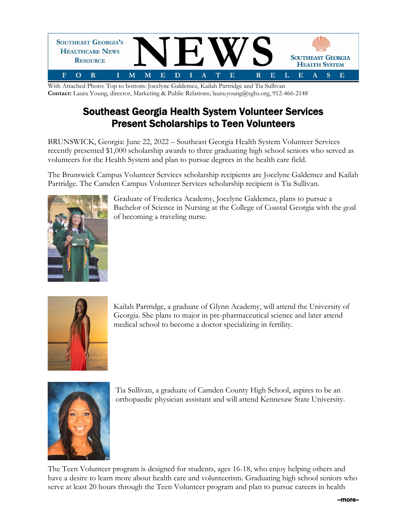

With Attached Photo: Top to bottom: Jocelyne Galdemez, Kailah Partridge and Tia Sullivan **Contact:** Laura Young, director, Marketing & Public Relations; laura.young@sghs.org, 912-466-2148

## Southeast Georgia Health System Volunteer Services Present Scholarships to Teen Volunteers

BRUNSWICK, Georgia: June 22, 2022 – Southeast Georgia Health System Volunteer Services recently presented \$1,000 scholarship awards to three graduating high school seniors who served as volunteers for the Health System and plan to pursue degrees in the health care field.

The Brunswick Campus Volunteer Services scholarship recipients are Jocelyne Galdemez and Kailah Partridge. The Camden Campus Volunteer Services scholarship recipient is Tia Sullivan.



Graduate of Frederica Academy, Jocelyne Galdemez, plans to pursue a Bachelor of Science in Nursing at the College of Coastal Georgia with the goal of becoming a traveling nurse.



Kailah Partridge, a graduate of Glynn Academy, will attend the University of Georgia. She plans to major in pre-pharmaceutical science and later attend medical school to become a doctor specializing in fertility.



Tia Sullivan, a graduate of Camden County High School, aspires to be an orthopaedic physician assistant and will attend Kennesaw State University.

The Teen Volunteer program is designed for students, ages 16-18, who enjoy helping others and have a desire to learn more about health care and volunteerism. Graduating high school seniors who serve at least 20 hours through the Teen Volunteer program and plan to pursue careers in health